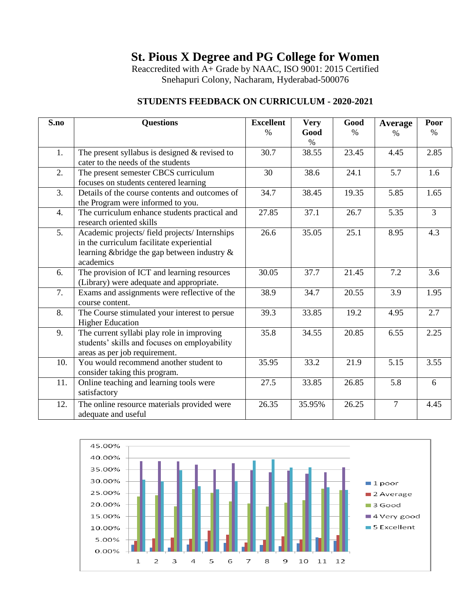Reaccredited with A+ Grade by NAAC, ISO 9001: 2015 Certified Snehapuri Colony, Nacharam, Hyderabad-500076

#### **STUDENTS FEEDBACK ON CURRICULUM - 2020-2021**

| S.no             | <b>Questions</b>                                                                                                                                         | <b>Excellent</b><br>$\frac{0}{0}$ | <b>Very</b><br>Good | Good<br>$\%$       | <b>Average</b><br>$\%$ | Poor<br>$\%$   |
|------------------|----------------------------------------------------------------------------------------------------------------------------------------------------------|-----------------------------------|---------------------|--------------------|------------------------|----------------|
| 1.               | The present syllabus is designed $&$ revised to<br>cater to the needs of the students                                                                    | 30.7                              | $\%$<br>38.55       | 23.45              | 4.45                   | 2.85           |
| 2.               | The present semester CBCS curriculum<br>focuses on students centered learning                                                                            | 30                                | 38.6                | 24.1               | 5.7                    | 1.6            |
| 3.               | Details of the course contents and outcomes of<br>the Program were informed to you.                                                                      | 34.7                              | 38.45               | $19.\overline{35}$ | 5.85                   | 1.65           |
| 4.               | The curriculum enhance students practical and<br>research oriented skills                                                                                | 27.85                             | 37.1                | 26.7               | 5.35                   | $\overline{3}$ |
| $\overline{5}$ . | Academic projects/ field projects/ Internships<br>in the curriculum facilitate experiential<br>learning & bridge the gap between industry &<br>academics | 26.6                              | 35.05               | 25.1               | 8.95                   | 4.3            |
| 6.               | The provision of ICT and learning resources<br>(Library) were adequate and appropriate.                                                                  | 30.05                             | 37.7                | 21.45              | 7.2                    | 3.6            |
| 7.               | Exams and assignments were reflective of the<br>course content.                                                                                          | 38.9                              | 34.7                | 20.55              | 3.9                    | 1.95           |
| 8.               | The Course stimulated your interest to persue<br><b>Higher Education</b>                                                                                 | 39.3                              | 33.85               | 19.2               | 4.95                   | 2.7            |
| 9.               | The current syllabi play role in improving<br>students' skills and focuses on employability<br>areas as per job requirement.                             | 35.8                              | 34.55               | 20.85              | 6.55                   | 2.25           |
| 10.              | You would recommend another student to<br>consider taking this program.                                                                                  | 35.95                             | 33.2                | 21.9               | 5.15                   | 3.55           |
| 11.              | Online teaching and learning tools were<br>satisfactory                                                                                                  | 27.5                              | 33.85               | 26.85              | 5.8                    | 6              |
| 12.              | The online resource materials provided were<br>adequate and useful                                                                                       | 26.35                             | 35.95%              | 26.25              | $\overline{7}$         | 4.45           |

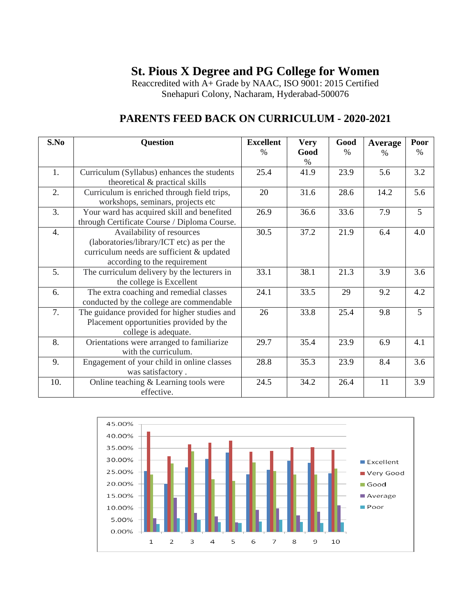Reaccredited with A+ Grade by NAAC, ISO 9001: 2015 Certified Snehapuri Colony, Nacharam, Hyderabad-500076

| S.No             | <b>Question</b>                                                                                                                                     | <b>Excellent</b> | <b>Very</b>  | Good          | Average | Poor           |
|------------------|-----------------------------------------------------------------------------------------------------------------------------------------------------|------------------|--------------|---------------|---------|----------------|
|                  |                                                                                                                                                     | $\frac{0}{0}$    | Good<br>$\%$ | $\frac{0}{0}$ | $\%$    | $\%$           |
| 1.               | Curriculum (Syllabus) enhances the students<br>theoretical & practical skills                                                                       | 25.4             | 41.9         | 23.9          | 5.6     | 3.2            |
| 2.               | Curriculum is enriched through field trips,<br>workshops, seminars, projects etc                                                                    | 20               | 31.6         | 28.6          | 14.2    | 5.6            |
| 3.               | Your ward has acquired skill and benefited<br>through Certificate Course / Diploma Course.                                                          | 26.9             | 36.6         | 33.6          | 7.9     | $\overline{5}$ |
| $\overline{4}$ . | Availability of resources<br>(laboratories/library/ICT etc) as per the<br>curriculum needs are sufficient & updated<br>according to the requirement | 30.5             | 37.2         | 21.9          | 6.4     | 4.0            |
| 5.               | The curriculum delivery by the lecturers in<br>the college is Excellent                                                                             | 33.1             | 38.1         | 21.3          | 3.9     | 3.6            |
| 6.               | The extra coaching and remedial classes<br>conducted by the college are commendable                                                                 | 24.1             | 33.5         | 29            | 9.2     | 4.2            |
| 7.               | The guidance provided for higher studies and<br>Placement opportunities provided by the<br>college is adequate.                                     | 26               | 33.8         | 25.4          | 9.8     | 5              |
| 8.               | Orientations were arranged to familiarize<br>with the curriculum.                                                                                   | 29.7             | 35.4         | 23.9          | 6.9     | 4.1            |
| 9.               | Engagement of your child in online classes<br>was satisfactory.                                                                                     | 28.8             | 35.3         | 23.9          | 8.4     | 3.6            |
| 10.              | Online teaching & Learning tools were<br>effective.                                                                                                 | 24.5             | 34.2         | 26.4          | 11      | 3.9            |

### **PARENTS FEED BACK ON CURRICULUM - 2020-2021**

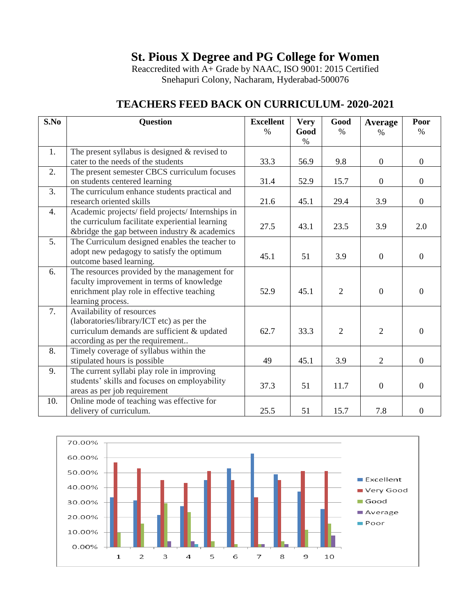Reaccredited with A+ Grade by NAAC, ISO 9001: 2015 Certified Snehapuri Colony, Nacharam, Hyderabad-500076

| S.No | <b>Question</b>                                                           | <b>Excellent</b> | <b>Very</b>  | Good           | Average          | Poor             |
|------|---------------------------------------------------------------------------|------------------|--------------|----------------|------------------|------------------|
|      |                                                                           | $\%$             | Good<br>$\%$ | $\frac{0}{0}$  | $\%$             | $\%$             |
| 1.   | The present syllabus is designed $&$ revised to                           |                  |              |                |                  |                  |
|      | cater to the needs of the students                                        | 33.3             | 56.9         | 9.8            | $\mathbf{0}$     | $\overline{0}$   |
| 2.   | The present semester CBCS curriculum focuses                              |                  |              |                |                  |                  |
|      | on students centered learning                                             | 31.4             | 52.9         | 15.7           | $\mathbf{0}$     | $\overline{0}$   |
| 3.   | The curriculum enhance students practical and                             |                  |              |                |                  |                  |
|      | research oriented skills                                                  | 21.6             | 45.1         | 29.4           | 3.9              | $\overline{0}$   |
| 4.   | Academic projects/ field projects/ Internships in                         |                  |              |                |                  |                  |
|      | the curriculum facilitate experiential learning                           | 27.5             | 43.1         | 23.5           | 3.9              | 2.0              |
|      | &bridge the gap between industry $\&$ academics                           |                  |              |                |                  |                  |
| 5.   | The Curriculum designed enables the teacher to                            |                  |              |                |                  |                  |
|      | adopt new pedagogy to satisfy the optimum                                 | 45.1             | 51           | 3.9            | $\overline{0}$   | $\overline{0}$   |
|      | outcome based learning.                                                   |                  |              |                |                  |                  |
| 6.   | The resources provided by the management for                              |                  |              |                |                  |                  |
|      | faculty improvement in terms of knowledge                                 |                  |              |                |                  |                  |
|      | enrichment play role in effective teaching                                | 52.9             | 45.1         | $\overline{2}$ | $\boldsymbol{0}$ | $\theta$         |
|      | learning process.                                                         |                  |              |                |                  |                  |
| 7.   | Availability of resources                                                 |                  |              |                |                  |                  |
|      | (laboratories/library/ICT etc) as per the                                 |                  |              |                |                  |                  |
|      | curriculum demands are sufficient & updated                               | 62.7             | 33.3         | $\overline{2}$ | $\overline{2}$   | $\overline{0}$   |
|      | according as per the requirement                                          |                  |              |                |                  |                  |
| 8.   | Timely coverage of syllabus within the                                    |                  |              |                |                  |                  |
|      | stipulated hours is possible                                              | 49               | 45.1         | 3.9            | $\overline{2}$   | $\Omega$         |
| 9.   | The current syllabi play role in improving                                |                  |              |                |                  |                  |
|      | students' skills and focuses on employability                             | 37.3             | 51           | 11.7           | $\overline{0}$   | $\theta$         |
| 10.  | areas as per job requirement<br>Online mode of teaching was effective for |                  |              |                |                  |                  |
|      |                                                                           |                  |              |                |                  |                  |
|      | delivery of curriculum.                                                   | 25.5             | 51           | 15.7           | 7.8              | $\boldsymbol{0}$ |

### **TEACHERS FEED BACK ON CURRICULUM- 2020-2021**

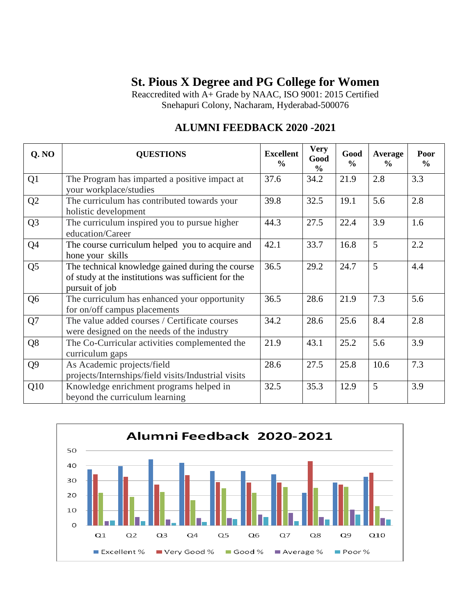Reaccredited with A+ Grade by NAAC, ISO 9001: 2015 Certified Snehapuri Colony, Nacharam, Hyderabad-500076

## **ALUMNI FEEDBACK 2020 -2021**

| Q. NO          | <b>QUESTIONS</b>                                                                                                          | <b>Excellent</b><br>$\frac{0}{0}$ | <b>Very</b><br>Good<br>$\frac{6}{6}$ | Good<br>$\frac{6}{6}$ | <b>Average</b><br>$\frac{6}{9}$ | Poor<br>$\frac{6}{6}$ |
|----------------|---------------------------------------------------------------------------------------------------------------------------|-----------------------------------|--------------------------------------|-----------------------|---------------------------------|-----------------------|
| Q1             | The Program has imparted a positive impact at<br>your workplace/studies                                                   | 37.6                              | 34.2                                 | 21.9                  | 2.8                             | 3.3                   |
| Q2             | The curriculum has contributed towards your<br>holistic development                                                       | 39.8                              | 32.5                                 | 19.1                  | 5.6                             | 2.8                   |
| Q <sub>3</sub> | The curriculum inspired you to pursue higher<br>education/Career                                                          | 44.3                              | 27.5                                 | 22.4                  | 3.9                             | 1.6                   |
| Q <sub>4</sub> | The course curriculum helped you to acquire and<br>hone your skills                                                       | 42.1                              | 33.7                                 | 16.8                  | 5                               | 2.2                   |
| Q <sub>5</sub> | The technical knowledge gained during the course<br>of study at the institutions was sufficient for the<br>pursuit of job | 36.5                              | 29.2                                 | 24.7                  | 5                               | 4.4                   |
| Q <sub>6</sub> | The curriculum has enhanced your opportunity<br>for on/off campus placements                                              | 36.5                              | 28.6                                 | 21.9                  | 7.3                             | 5.6                   |
| Q7             | The value added courses / Certificate courses<br>were designed on the needs of the industry                               | 34.2                              | 28.6                                 | 25.6                  | 8.4                             | 2.8                   |
| Q <sub>8</sub> | The Co-Curricular activities complemented the<br>curriculum gaps                                                          | 21.9                              | 43.1                                 | 25.2                  | 5.6                             | 3.9                   |
| Q <sub>9</sub> | As Academic projects/field<br>projects/Internships/field visits/Industrial visits                                         | 28.6                              | 27.5                                 | 25.8                  | 10.6                            | 7.3                   |
| Q10            | Knowledge enrichment programs helped in<br>beyond the curriculum learning                                                 | 32.5                              | 35.3                                 | 12.9                  | 5                               | 3.9                   |

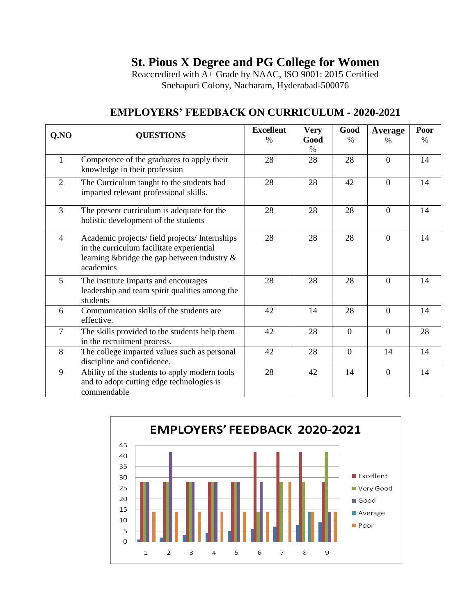Reaccredited with A+ Grade by NAAC, ISO 9001: 2015 Certified Snehapuri Colony, Nacharam, Hyderabad-500076

| QNO            | <b>QUESTIONS</b>                                                                                                                                         | <b>Excellent</b> | <b>Very</b> | Good           | Average        | Poor          |
|----------------|----------------------------------------------------------------------------------------------------------------------------------------------------------|------------------|-------------|----------------|----------------|---------------|
|                |                                                                                                                                                          | $\%$             | Good<br>%   | $\%$           | $\frac{0}{0}$  | $\frac{0}{0}$ |
| $\mathbf{1}$   | Competence of the graduates to apply their<br>knowledge in their profession                                                                              | 28               | 28          | 28             | $\Omega$       | 14            |
| 2              | The Curriculum taught to the students had<br>imparted relevant professional skills.                                                                      | 28               | 28          | 42             | $\Omega$       | 14            |
| 3              | The present curriculum is adequate for the<br>holistic development of the students                                                                       | 28               | 28          | 28             | $\overline{0}$ | 14            |
| $\overline{4}$ | Academic projects/ field projects/ Internships<br>in the curriculum facilitate experiential<br>learning & bridge the gap between industry &<br>academics | 28               | 28          | 28             | $\theta$       | 14            |
| 5              | The institute Imparts and encourages<br>leadership and team spirit qualities among the<br>students                                                       | 28               | 28          | 28             | $\Omega$       | 14            |
| 6              | Communication skills of the students are<br>effective.                                                                                                   | 42               | 14          | 28             | $\Omega$       | 14            |
| $\overline{7}$ | The skills provided to the students help them<br>in the recruitment process.                                                                             | 42               | 28          | $\Omega$       | $\Omega$       | 28            |
| 8              | The college imparted values such as personal<br>discipline and confidence.                                                                               | 42               | 28          | $\overline{0}$ | 14             | 14            |
| 9              | Ability of the students to apply modern tools<br>and to adopt cutting edge technologies is<br>commendable                                                | 28               | 42          | 14             | $\overline{0}$ | 14            |

### **EMPLOYERS' FEEDBACK ON CURRICULUM - 2020-2021**

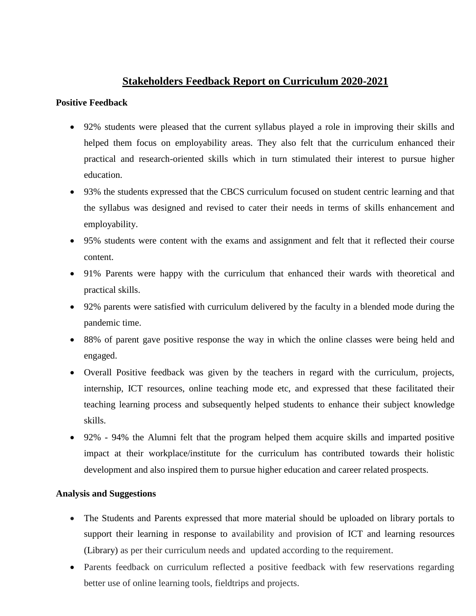#### **Stakeholders Feedback Report on Curriculum 2020-2021**

#### **Positive Feedback**

- 92% students were pleased that the current syllabus played a role in improving their skills and helped them focus on employability areas. They also felt that the curriculum enhanced their practical and research-oriented skills which in turn stimulated their interest to pursue higher education.
- 93% the students expressed that the CBCS curriculum focused on student centric learning and that the syllabus was designed and revised to cater their needs in terms of skills enhancement and employability.
- 95% students were content with the exams and assignment and felt that it reflected their course content.
- 91% Parents were happy with the curriculum that enhanced their wards with theoretical and practical skills.
- 92% parents were satisfied with curriculum delivered by the faculty in a blended mode during the pandemic time.
- 88% of parent gave positive response the way in which the online classes were being held and engaged.
- Overall Positive feedback was given by the teachers in regard with the curriculum, projects, internship, ICT resources, online teaching mode etc, and expressed that these facilitated their teaching learning process and subsequently helped students to enhance their subject knowledge skills.
- 92% 94% the Alumni felt that the program helped them acquire skills and imparted positive impact at their workplace/institute for the curriculum has contributed towards their holistic development and also inspired them to pursue higher education and career related prospects.

#### **Analysis and Suggestions**

- The Students and Parents expressed that more material should be uploaded on library portals to support their learning in response to availability and provision of ICT and learning resources (Library) as per their curriculum needs and updated according to the requirement.
- Parents feedback on curriculum reflected a positive feedback with few reservations regarding better use of online learning tools, fieldtrips and projects.